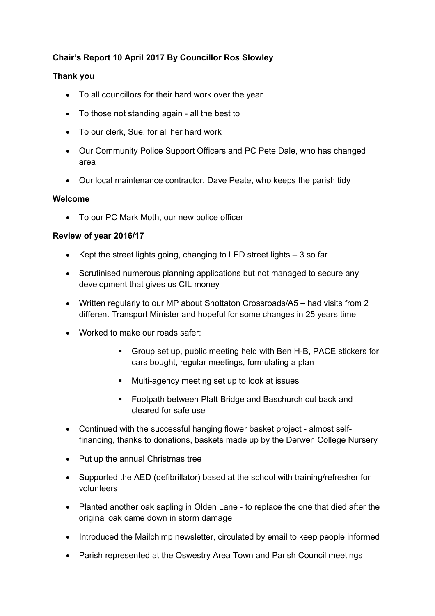# **Chair's Report 10 April 2017 By Councillor Ros Slowley**

## **Thank you**

- To all councillors for their hard work over the year
- To those not standing again all the best to
- To our clerk, Sue, for all her hard work
- Our Community Police Support Officers and PC Pete Dale, who has changed area
- Our local maintenance contractor, Dave Peate, who keeps the parish tidy

### **Welcome**

To our PC Mark Moth, our new police officer

### **Review of year 2016/17**

- Kept the street lights going, changing to LED street lights  $-3$  so far
- Scrutinised numerous planning applications but not managed to secure any development that gives us CIL money
- Written regularly to our MP about Shottaton Crossroads/A5 had visits from 2 different Transport Minister and hopeful for some changes in 25 years time
- Worked to make our roads safer:
	- Group set up, public meeting held with Ben H-B, PACE stickers for cars bought, regular meetings, formulating a plan
	- **Multi-agency meeting set up to look at issues**
	- Footpath between Platt Bridge and Baschurch cut back and cleared for safe use
- Continued with the successful hanging flower basket project almost selffinancing, thanks to donations, baskets made up by the Derwen College Nursery
- Put up the annual Christmas tree
- Supported the AED (defibrillator) based at the school with training/refresher for volunteers
- Planted another oak sapling in Olden Lane to replace the one that died after the original oak came down in storm damage
- Introduced the Mailchimp newsletter, circulated by email to keep people informed
- Parish represented at the Oswestry Area Town and Parish Council meetings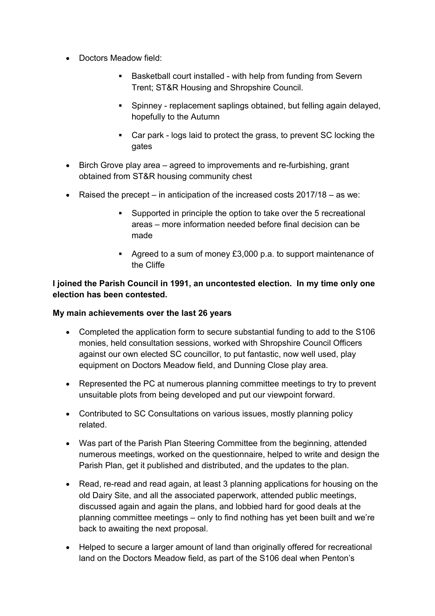- Doctors Meadow field:
	- Basketball court installed with help from funding from Severn Trent; ST&R Housing and Shropshire Council.
	- Spinney replacement saplings obtained, but felling again delayed, hopefully to the Autumn
	- Car park logs laid to protect the grass, to prevent SC locking the gates
- Birch Grove play area agreed to improvements and re-furbishing, grant obtained from ST&R housing community chest
- Raised the precept in anticipation of the increased costs 2017/18 as we:
	- Supported in principle the option to take over the 5 recreational areas – more information needed before final decision can be made
	- Agreed to a sum of money £3,000 p.a. to support maintenance of the Cliffe

# **I joined the Parish Council in 1991, an uncontested election. In my time only one election has been contested.**

### **My main achievements over the last 26 years**

- Completed the application form to secure substantial funding to add to the S106 monies, held consultation sessions, worked with Shropshire Council Officers against our own elected SC councillor, to put fantastic, now well used, play equipment on Doctors Meadow field, and Dunning Close play area.
- Represented the PC at numerous planning committee meetings to try to prevent unsuitable plots from being developed and put our viewpoint forward.
- Contributed to SC Consultations on various issues, mostly planning policy related.
- Was part of the Parish Plan Steering Committee from the beginning, attended numerous meetings, worked on the questionnaire, helped to write and design the Parish Plan, get it published and distributed, and the updates to the plan.
- Read, re-read and read again, at least 3 planning applications for housing on the old Dairy Site, and all the associated paperwork, attended public meetings, discussed again and again the plans, and lobbied hard for good deals at the planning committee meetings – only to find nothing has yet been built and we're back to awaiting the next proposal.
- Helped to secure a larger amount of land than originally offered for recreational land on the Doctors Meadow field, as part of the S106 deal when Penton's